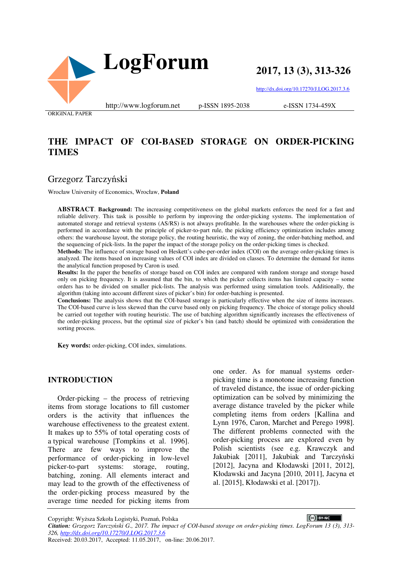

**2017, 13 (3), 313-326**

http://dx.doi.org/10.17270/J.LOG.2017.3.6

e-ISSN 1734-459X

ORIGINAL PAPER

## **THE IMPACT OF COI-BASED STORAGE ON ORDER-PICKING TIMES**

## Grzegorz Tarczyński

Wrocław University of Economics, Wrocław, **Poland**

**ABSTRACT**. **Background:** The increasing competitiveness on the global markets enforces the need for a fast and reliable delivery. This task is possible to perform by improving the order-picking systems. The implementation of automated storage and retrieval systems (AS/RS) is not always profitable. In the warehouses where the order-picking is performed in accordance with the principle of picker-to-part rule, the picking efficiency optimization includes among others: the warehouse layout, the storage policy, the routing heuristic, the way of zoning, the order-batching method, and the sequencing of pick-lists. In the paper the impact of the storage policy on the order-picking times is checked.

**Methods:** The influence of storage based on Heskett's cube-per-order index (COI) on the average order-picking times is analyzed. The items based on increasing values of COI index are divided on classes. To determine the demand for items the analytical function proposed by Caron is used.

**Results:** In the paper the benefits of storage based on COI index are compared with random storage and storage based only on picking frequency. It is assumed that the bin, to which the picker collects items has limited capacity – some orders has to be divided on smaller pick-lists. The analysis was performed using simulation tools. Additionally, the algorithm (taking into account different sizes of picker's bin) for order-batching is presented.

**Conclusions:** The analysis shows that the COI-based storage is particularly effective when the size of items increases. The COI-based curve is less skewed than the curve based only on picking frequency. The choice of storage policy should be carried out together with routing heuristic. The use of batching algorithm significantly increases the effectiveness of the order-picking process, but the optimal size of picker's bin (and batch) should be optimized with consideration the sorting process.

**Key words:** order-picking, COI index, simulations.

#### **INTRODUCTION**

Order-picking – the process of retrieving items from storage locations to fill customer orders is the activity that influences the warehouse effectiveness to the greatest extent. It makes up to 55% of total operating costs of a typical warehouse [Tompkins et al. 1996]. There are few ways to improve the performance of order-picking in low-level picker-to-part systems: storage, routing, batching, zoning. All elements interact and may lead to the growth of the effectiveness of the order-picking process measured by the average time needed for picking items from

one order. As for manual systems orderpicking time is a monotone increasing function of traveled distance, the issue of order-picking optimization can be solved by minimizing the average distance traveled by the picker while completing items from orders [Kallina and Lynn 1976, Caron, Marchet and Perego 1998]. The different problems connected with the order-picking process are explored even by Polish scientists (see e.g. Krawczyk and Jakubiak [2011], Jakubiak and Tarczyński [2012], Jacyna and Kłodawski [2011, 2012], Kłodawski and Jacyna [2010, 2011], Jacyna et al. [2015], Kłodawski et al. [2017]).

Copyright: Wyższa Szkoła Logistyki, Poznań, Polska

 $\left(\text{c}\right)$  BY-NC *Citation: Grzegorz Tarczyński G., 2017. The impact of COI-based storage on order-picking times. LogForum 13 (3), 313- 326, http://dx.doi.org/10.17270/J.LOG.2017.3.6*  Received: 20.03.2017, Accepted: 11.05.2017, on-line: 20.06.2017.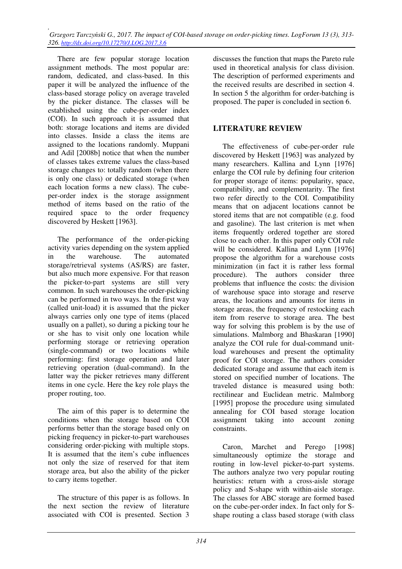*, Grzegorz Tarczyński G., 2017. The impact of COI-based storage on order-picking times. LogForum 13 (3), 313- 326. http://dx.doi.org/10.17270/J.LOG.2017.3.6* 

There are few popular storage location assignment methods. The most popular are: random, dedicated, and class-based. In this paper it will be analyzed the influence of the class-based storage policy on average traveled by the picker distance. The classes will be established using the cube-per-order index (COI). In such approach it is assumed that both: storage locations and items are divided into classes. Inside a class the items are assigned to the locations randomly. Muppani and Adil [2008b] notice that when the number of classes takes extreme values the class-based storage changes to: totally random (when there is only one class) or dedicated storage (when each location forms a new class). The cubeper-order index is the storage assignment method of items based on the ratio of the required space to the order frequency discovered by Heskett [1963].

The performance of the order-picking activity varies depending on the system applied in the warehouse. The automated storage/retrieval systems (AS/RS) are faster, but also much more expensive. For that reason the picker-to-part systems are still very common. In such warehouses the order-picking can be performed in two ways. In the first way (called unit-load) it is assumed that the picker always carries only one type of items (placed usually on a pallet), so during a picking tour he or she has to visit only one location while performing storage or retrieving operation (single-command) or two locations while performing: first storage operation and later retrieving operation (dual-command). In the latter way the picker retrieves many different items in one cycle. Here the key role plays the proper routing, too.

The aim of this paper is to determine the conditions when the storage based on COI performs better than the storage based only on picking frequency in picker-to-part warehouses considering order-picking with multiple stops. It is assumed that the item's cube influences not only the size of reserved for that item storage area, but also the ability of the picker to carry items together.

The structure of this paper is as follows. In the next section the review of literature associated with COI is presented. Section 3 discusses the function that maps the Pareto rule used in theoretical analysis for class division. The description of performed experiments and the received results are described in section 4. In section 5 the algorithm for order-batching is proposed. The paper is concluded in section 6.

### **LITERATURE REVIEW**

The effectiveness of cube-per-order rule discovered by Heskett [1963] was analyzed by many researchers. Kallina and Lynn [1976] enlarge the COI rule by defining four criterion for proper storage of items: popularity, space, compatibility, and complementarity. The first two refer directly to the COI. Compatibility means that on adjacent locations cannot be stored items that are not compatible (e.g. food and gasoline). The last criterion is met when items frequently ordered together are stored close to each other. In this paper only COI rule will be considered. Kallina and Lynn [1976] propose the algorithm for a warehouse costs minimization (in fact it is rather less formal procedure). The authors consider three problems that influence the costs: the division of warehouse space into storage and reserve areas, the locations and amounts for items in storage areas, the frequency of restocking each item from reserve to storage area. The best way for solving this problem is by the use of simulations. Malmborg and Bhaskaran [1990] analyze the COI rule for dual-command unitload warehouses and present the optimality proof for COI storage. The authors consider dedicated storage and assume that each item is stored on specified number of locations. The traveled distance is measured using both: rectilinear and Euclidean metric. Malmborg [1995] propose the procedure using simulated annealing for COI based storage location assignment taking into account zoning constraints.

Caron, Marchet and Perego [1998] simultaneously optimize the storage and routing in low-level picker-to-part systems. The authors analyze two very popular routing heuristics: return with a cross-aisle storage policy and S-shape with within-aisle storage. The classes for ABC storage are formed based on the cube-per-order index. In fact only for Sshape routing a class based storage (with class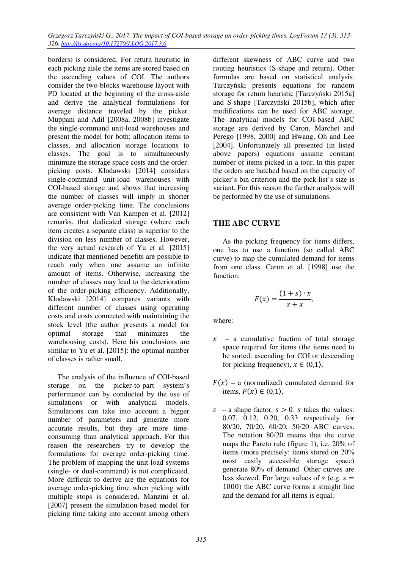borders) is considered. For return heuristic in each picking aisle the items are stored based on the ascending values of COI. The authors consider the two-blocks warehouse layout with PD located at the beginning of the cross-aisle and derive the analytical formulations for average distance traveled by the picker. Muppani and Adil [2008a, 2008b] investigate the single-command unit-load warehouses and present the model for both: allocation items to classes, and allocation storage locations to classes. The goal is to simultaneously minimize the storage space costs and the orderpicking costs. Kłodawski [2014] considers single-command unit-load warehouses with COI-based storage and shows that increasing the number of classes will imply in shorter average order-picking time. The conclusions are consistent with Van Kampen et al. [2012] remarks, that dedicated storage (where each item creates a separate class) is superior to the division on less number of classes. However, the very actual research of Yu et al. [2015] indicate that mentioned benefits are possible to reach only when one assume an infinite amount of items. Otherwise, increasing the number of classes may lead to the deterioration of the order-picking efficiency. Additionally, Kłodawski [2014] compares variants with different number of classes using operating costs and costs connected with maintaining the stock level (the author presents a model for optimal storage that minimizes the warehousing costs). Here his conclusions are similar to Yu et al. [2015]: the optimal number of classes is rather small.

The analysis of the influence of COI-based storage on the picker-to-part system's performance can by conducted by the use of simulations or with analytical models. Simulations can take into account a bigger number of parameters and generate more accurate results, but they are more timeconsuming than analytical approach. For this reason the researchers try to develop the formulations for average order-picking time. The problem of mapping the unit-load systems (single- or dual-command) is not complicated. More difficult to derive are the equations for average order-picking time when picking with multiple stops is considered. Manzini et al. [2007] present the simulation-based model for picking time taking into account among others

different skewness of ABC curve and two routing heuristics (S-shape and return). Other formulas are based on statistical analysis. Tarczyński presents equations for random storage for return heuristic [Tarczyński 2015a] and S-shape [Tarczyński 2015b], which after modifications can be used for ABC storage. The analytical models for COI-based ABC storage are derived by Caron, Marchet and Perego [1998, 2000] and Hwang, Oh and Lee [2004]. Unfortunately all presented (in listed above papers) equations assume constant number of items picked in a tour. In this paper the orders are batched based on the capacity of picker's bin criterion and the pick-list's size is variant. For this reason the further analysis will be performed by the use of simulations.

### **THE ABC CURVE**

As the picking frequency for items differs, one has to use a function (so called ABC curve) to map the cumulated demand for items from one class. Caron et al. [1998] use the function:

$$
F(x) = \frac{(1+s)\cdot x}{s+x},
$$

where:

- $x a$  cumulative fraction of total storage space required for items (the items need to be sorted: ascending for COI or descending for picking frequency),  $x \in (0,1)$ ,
- $F(x)$  a (normalized) cumulated demand for items,  $F(x) \in \langle 0,1 \rangle$ ,
- $s a$  shape factor,  $s > 0$ . *s* takes the values: 0.07, 0.12, 0.20, 0.33 respectively for 80/20, 70/20, 60/20, 50/20 ABC curves. The notation 80/20 means that the curve maps the Pareto rule (figure 1), i.e. 20% of items (more precisely: items stored on 20% most easily accessible storage space) generate 80% of demand. Other curves are less skewed. For large values of  $s$  (e.g.  $s =$ 1000) the ABC curve forms a straight line and the demand for all items is equal.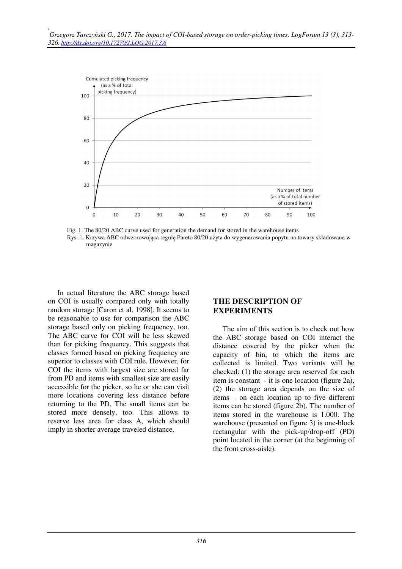

 Fig. 1. The 80/20 ABC curve used for generation the demand for stored in the warehouse items Rys. 1. Krzywa ABC odwzorowująca regułę Pareto 80/20 użyta do wygenerowania popytu na towary składowane w magazynie

In actual literature the ABC storage based on COI is usually compared only with totally random storage [Caron et al. 1998]. It seems to be reasonable to use for comparison the ABC storage based only on picking frequency, too. The ABC curve for COI will be less skewed than for picking frequency. This suggests that classes formed based on picking frequency are superior to classes with COI rule. However, for COI the items with largest size are stored far from PD and items with smallest size are easily accessible for the picker, so he or she can visit more locations covering less distance before returning to the PD. The small items can be stored more densely, too. This allows to reserve less area for class A, which should imply in shorter average traveled distance.

### **THE DESCRIPTION OF EXPERIMENTS**

The aim of this section is to check out how the ABC storage based on COI interact the distance covered by the picker when the capacity of bin, to which the items are collected is limited. Two variants will be checked: (1) the storage area reserved for each item is constant - it is one location (figure 2a), (2) the storage area depends on the size of items – on each location up to five different items can be stored (figure 2b). The number of items stored in the warehouse is 1.000. The warehouse (presented on figure 3) is one-block rectangular with the pick-up/drop-off (PD) point located in the corner (at the beginning of the front cross-aisle).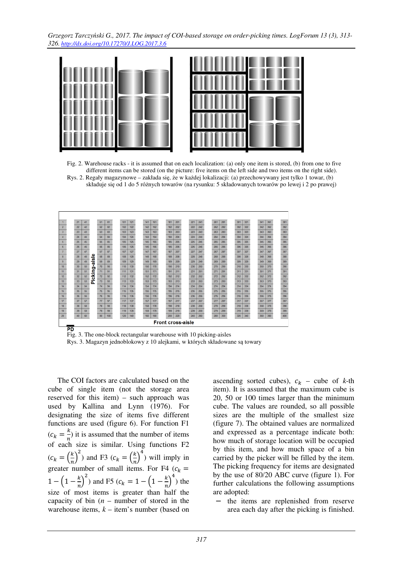*Grzegorz Tarczyński G., 2017. The impact of COI-based storage on order-picking times. LogForum 13 (3), 313- 326. http://dx.doi.org/10.17270/J.LOG.2017.3.6* 



 Fig. 2. Warehouse racks - it is assumed that on each localization: (a) only one item is stored, (b) from one to five different items can be stored (on the picture: five items on the left side and two items on the right side). Rys. 2. Regały magazynowe – zakłada się, że w każdej lokalizacji: (a) przechowywany jest tylko 1 towar, (b) składuje się od 1 do 5 różnych towarów (na rysunku: 5 składowanych towarów po lewej i 2 po prawej)



 Fig. 3. The one-block rectangular warehouse with 10 picking-aisles Rys. 3. Magazyn jednoblokowy z 10 alejkami, w których składowane są towary

The COI factors are calculated based on the cube of single item (not the storage area reserved for this item) – such approach was used by Kallina and Lynn (1976). For designating the size of items five different functions are used (figure 6). For function F1  $(c_k = \frac{k}{n})$  $\frac{\pi}{n}$ ) it is assumed that the number of items of each size is similar. Using functions F2  $(c_k = \left(\frac{k}{n}\right)^2)$  and F3  $(c_k = \left(\frac{k}{n}\right)^4)$  will imply in greater number of small items. For F4  $(c_k =$  $1 - \left(1 - \frac{k}{n}\right)^2$  and F5  $(c_k = 1 - \left(1 - \frac{k}{n}\right)^4)$  the size of most items is greater than half the capacity of bin (*n* – number of stored in the warehouse items,  $k -$  item's number (based on

ascending sorted cubes),  $c_k$  – cube of  $k$ -th item). It is assumed that the maximum cube is 20, 50 or 100 times larger than the minimum cube. The values are rounded, so all possible sizes are the multiple of the smallest size (figure 7). The obtained values are normalized and expressed as a percentage indicate both: how much of storage location will be occupied by this item, and how much space of a bin carried by the picker will be filled by the item. The picking frequency for items are designated by the use of 80/20 ABC curve (figure 1). For further calculations the following assumptions are adopted:

the items are replenished from reserve area each day after the picking is finished.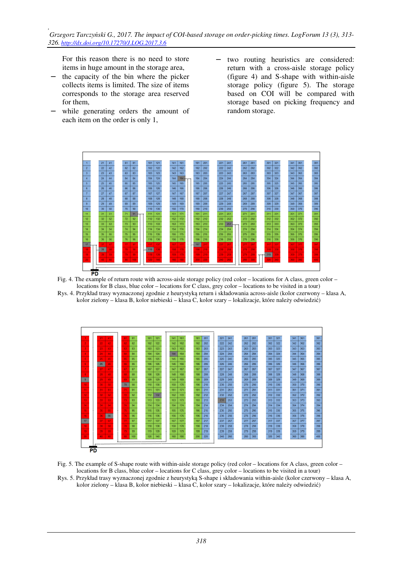For this reason there is no need to store items in huge amount in the storage area,

- the capacity of the bin where the picker collects items is limited. The size of items corresponds to the storage area reserved for them,
- while generating orders the amount of each item on the order is only 1,
- two routing heuristics are considered: return with a cross-aisle storage policy (figure 4) and S-shape with within-aisle storage policy (figure 5). The storage based on COI will be compared with storage based on picking frequency and random storage.



Fig. 4. The example of return route with across-aisle storage policy (red color – locations for A class, green color – locations for B class, blue color – locations for C class, grey color – locations to be visited in a tour)

Rys. 4. Przykład trasy wyznaczonej zgodnie z heurystyką return i składowania across-aisle (kolor czerwony – klasa A, kolor zielony – klasa B, kolor niebieski – klasa C, kolor szary – lokalizacje, które należy odwiedzić)



- Fig. 5. The example of S-shape route with within-aisle storage policy (red color locations for A class, green color locations for B class, blue color – locations for C class, grey color – locations to be visited in a tour)
- Rys. 5. Przykład trasy wyznaczonej zgodnie z heurystyką S-shape i składowania within-aisle (kolor czerwony klasa A, kolor zielony – klasa B, kolor niebieski – klasa C, kolor szary – lokalizacje, które należy odwiedzić)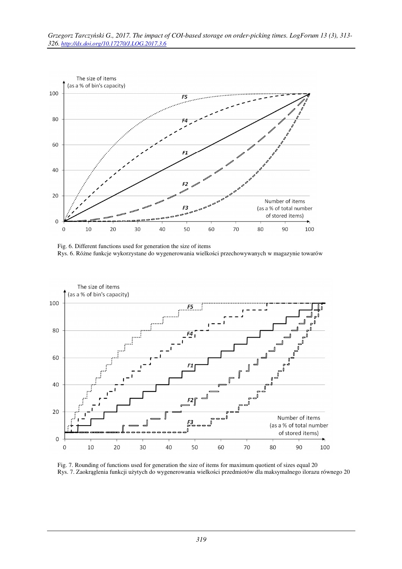

Fig. 6. Different functions used for generation the size of items Rys. 6. Różne funkcje wykorzystane do wygenerowania wielkości przechowywanych w magazynie towarów



Fig. 7. Rounding of functions used for generation the size of items for maximum quotient of sizes equal 20 Rys. 7. Zaokrąglenia funkcji użytych do wygenerowania wielkości przedmiotów dla maksymalnego ilorazu równego 20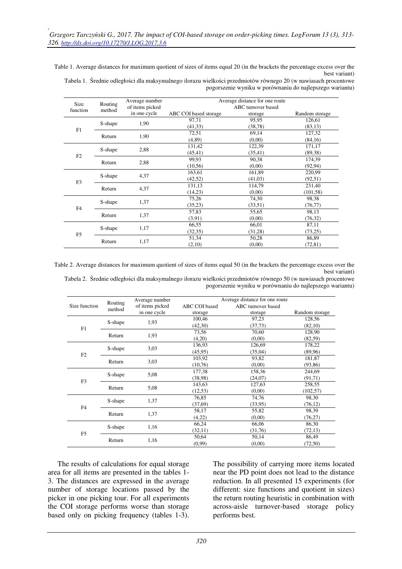Table 1. Average distances for maximum quotient of sizes of items equal 20 (in the brackets the percentage excess over the best variant)

Tabela 1. Średnie odległości dla maksymalnego ilorazu wielkości przedmiotów równego 20 (w nawiasach procentowe pogorszenie wyniku w porównaniu do najlepszego wariantu)

|                  |                   | Average number  |                       | Average distance for one route |                |
|------------------|-------------------|-----------------|-----------------------|--------------------------------|----------------|
| Size<br>function | Routing<br>method | of items picked |                       | ABC turnover based             |                |
|                  |                   | in one cycle    | ABC COI based storage | storage                        | Random storage |
|                  |                   | 1,90            | 97,71                 | 95,95                          | 126,61         |
| F1               | S-shape           |                 | (41, 33)              | (38, 78)                       | (83,13)        |
|                  | Return            | 1,90            | 72,51                 | 69,14                          | 127,32         |
|                  |                   |                 | (4, 89)               | (0,00)                         | (84,16)        |
|                  |                   | 2,88            | 131,42                | 122,39                         | 171,17         |
| F2               | S-shape           |                 | (45, 41)              | (35, 41)                       | (89,38)        |
|                  | Return            | 2,88            | 99,93                 | 90,38                          | 174,39         |
|                  |                   |                 | (10, 56)              | (0,00)                         | (92, 94)       |
| F <sub>3</sub>   | S-shape           | 4,37            | 163,61                | 161,89                         | 220,99         |
|                  |                   |                 | (42, 52)              | (41,03)                        | (92, 51)       |
|                  | Return            | 4,37            | 131,13                | 114,79                         | 231,40         |
|                  |                   |                 | (14,23)               | (0,00)                         | (101, 58)      |
|                  | S-shape           | 1,37            | 75,26                 | 74,30                          | 98,38          |
|                  |                   |                 | (35,23)               | (33,51)                        | (76, 77)       |
| F4               | Return            | 1,37            | 57,83                 | 55,65                          | 98,13          |
|                  |                   |                 | (3,91)                | (0,00)                         | (76,32)        |
| F <sub>5</sub>   |                   | 1,17            | 66,55                 | 66,01                          | 87,11          |
|                  | S-shape           |                 | (32, 35)              | (31,28)                        | (73,25)        |
|                  | Return            |                 | 51,34                 | 50,28                          | 86,89          |
|                  |                   | 1,17            | (2,10)                | (0,00)                         | (72, 81)       |

Table 2. Average distances for maximum quotient of sizes of items equal 50 (in the brackets the percentage excess over the best variant)

Tabela 2. Średnie odległości dla maksymalnego ilorazu wielkości przedmiotów równego 50 (w nawiasach procentowe pogorszenie wyniku w porównaniu do najlepszego wariantu)

|                |                   | Average number  | Average distance for one route |                    |                |  |  |
|----------------|-------------------|-----------------|--------------------------------|--------------------|----------------|--|--|
| Size function  | Routing<br>method | of items picked | ABC COI based                  | ABC turnover based |                |  |  |
|                |                   | in one cycle    | storage                        | storage            | Random storage |  |  |
|                | S-shape           | 1,93            | 100,46                         | 97,23              | 128,56         |  |  |
| F1             |                   |                 | (42,30)                        | (37, 73)           | (82,10)        |  |  |
|                | Return            | 1,93            | 73,56                          | 70,60              | 128,90         |  |  |
|                |                   |                 | (4,20)                         | (0.00)             | (82, 59)       |  |  |
|                | S-shape           | 3,03            | 136,93                         | 126,69             | 178,22         |  |  |
| F2             |                   |                 | (45,95)                        | (35,04)            | (89,96)        |  |  |
|                | Return            | 3,03            | 103,92                         | 93,82              | 181,87         |  |  |
|                |                   |                 | (10,76)                        | (0,00)             | (93, 86)       |  |  |
|                | S-shape           |                 | 177,38                         | 158,36             | 244,69         |  |  |
| F3             |                   | 5,08            | (38,98)                        | (24,07)            | (91,71)        |  |  |
|                | Return            | 5,08            | 143,63                         | 127,63             | 258,55         |  |  |
|                |                   |                 | (12, 53)                       | (0,00)             | (102, 57)      |  |  |
|                |                   | 1,37            | 76,85                          | 74,76              | 98,30          |  |  |
| F <sub>4</sub> | S-shape           |                 | (37,69)                        | (33,95)            | (76,12)        |  |  |
|                |                   |                 | 58,17                          | 55,82              | 98,39          |  |  |
|                | Return            | 1,37            | (4,22)                         | (0.00)             | (76,27)        |  |  |
|                | S-shape           | 1,16            | 66,24                          | 66,06              | 86,30          |  |  |
| F <sub>5</sub> |                   |                 | (32,11)                        | (31,76)            | (72, 13)       |  |  |
|                |                   |                 | 50,64                          | 50,14              | 86,49          |  |  |
|                | Return            | 1,16            | (0,99)                         | (0,00)             | (72,50)        |  |  |

The results of calculations for equal storage area for all items are presented in the tables 1- 3. The distances are expressed in the average number of storage locations passed by the picker in one picking tour. For all experiments the COI storage performs worse than storage based only on picking frequency (tables 1-3).

The possibility of carrying more items located near the PD point does not lead to the distance reduction. In all presented 15 experiments (for different: size functions and quotient in sizes) the return routing heuristic in combination with across-aisle turnover-based storage policy performs best.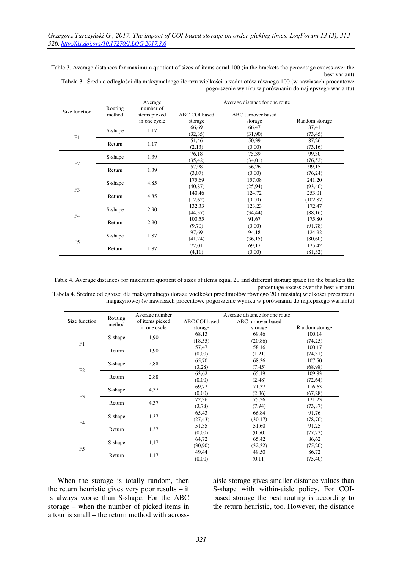Table 3. Average distances for maximum quotient of sizes of items equal 100 (in the brackets the percentage excess over the best variant)

Tabela 3. Średnie odległości dla maksymalnego ilorazu wielkości przedmiotów równego 100 (w nawiasach procentowe pogorszenie wyniku w porównaniu do najlepszego wariantu)

|                |                   | Average      |               | Average distance for one route |                |
|----------------|-------------------|--------------|---------------|--------------------------------|----------------|
| Size function  | Routing<br>method | number of    |               |                                |                |
|                |                   | items picked | ABC COI based | ABC turnover based             |                |
|                |                   | in one cycle | storage       | storage                        | Random storage |
| F1             | S-shape           |              | 66,69         | 66,47                          | 87,41          |
|                |                   | 1,17         | (32,35)       | (31,90)                        | (73, 45)       |
|                | Return            | 1,17         | 51,46         | 50,39                          | 87,26          |
|                |                   |              | (2,13)        | (0,00)                         | (73,16)        |
|                |                   | 1,39         | 76,18         | 75,39                          | 99,30          |
|                | S-shape           |              | (35, 42)      | (34,01)                        | (76, 52)       |
| F2             | Return            | 1,39         | 57,98         | 56,26                          | 99,15          |
|                |                   |              | (3,07)        | (0,00)                         | (76,24)        |
|                | S-shape           | 4,85         | 175,69        | 157,08                         | 241,20         |
| F <sub>3</sub> |                   |              | (40, 87)      | (25,94)                        | (93, 40)       |
|                | Return            | 4,85         | 140,46        | 124,72                         | 253,01         |
|                |                   |              | (12,62)       | (0,00)                         | (102, 87)      |
|                |                   | 2,90         | 132,33        | 123,23                         | 172,47         |
| F <sub>4</sub> | S-shape           |              | (44, 37)      | (34, 44)                       | (88,16)        |
|                |                   | 2,90         | 100,55        | 91,67                          | 175,80         |
|                | Return            |              | (9,70)        | (0,00)                         | (91,78)        |
|                |                   |              | 97,69         | 94,18                          | 124,92         |
| F <sub>5</sub> | S-shape           | 1,87         | (41,24)       | (36,15)                        | (80, 60)       |
|                | Return            | 1,87         | 72,01         | 69,17                          | 125,42         |
|                |                   |              | (4,11)        | (0,00)                         | (81,32)        |

Table 4. Average distances for maximum quotient of sizes of items equal 20 and different storage space (in the brackets the percentage excess over the best variant)

Tabela 4. Średnie odległości dla maksymalnego ilorazu wielkości przedmiotów równego 20 i niestałej wielkości przestrzeni magazynowej (w nawiasach procentowe pogorszenie wyniku w porównaniu do najlepszego wariantu)

|                | Routing<br>method | Average number  | Average distance for one route |                    |                |  |  |
|----------------|-------------------|-----------------|--------------------------------|--------------------|----------------|--|--|
| Size function  |                   | of items picked | ABC COI based                  | ABC turnover based |                |  |  |
|                |                   | in one cycle    | storage                        | storage            | Random storage |  |  |
|                |                   |                 | 68,13                          | 69,46              | 100,14         |  |  |
| F1             | S-shape           | 1,90            | (18, 55)                       | (20, 86)           | (74,25)        |  |  |
|                | Return            | 1,90            | 57,47                          | 58,16              | 100,17         |  |  |
|                |                   |                 | (0,00)                         | (1,21)             | (74,31)        |  |  |
|                |                   | 2,88            | 65,70                          | 68,36              | 107,50         |  |  |
| F2             | S-shape           |                 | (3,28)                         | (7, 45)            | (68,98)        |  |  |
|                | Return            | 2,88            | 63,62                          | 65,19              | 109,83         |  |  |
|                |                   |                 | (0,00)                         | (2, 48)            | (72, 64)       |  |  |
|                | S-shape           | 4,37            | 69,72                          | 71,37              | 116,63         |  |  |
| F3             |                   |                 | (0,00)                         | (2,36)             | (67,28)        |  |  |
|                | Return            | 4,37            | 72,36                          | 75,26              | 121,23         |  |  |
|                |                   |                 | (3,78)                         | (7, 94)            | (73, 87)       |  |  |
|                |                   | 1,37            | 65,43                          | 66,84              | 91,76          |  |  |
| F4             | S-shape           |                 | (27, 43)                       | (30,17)            | (78, 70)       |  |  |
|                |                   | 1,37            | 51,35                          | 51,60              | 91,25          |  |  |
|                | Return            |                 | (0,00)                         | (0,50)             | (77, 72)       |  |  |
|                |                   |                 | 64,72                          | 65,42              | 86,62          |  |  |
| F <sub>5</sub> | S-shape           | 1,17            | (30,90)                        | (32, 32)           | (75,20)        |  |  |
|                |                   |                 | 49,44                          | 49,50              | 86,72          |  |  |
|                | Return            | 1,17            | (0,00)                         | (0,11)             | (75, 40)       |  |  |

When the storage is totally random, then the return heuristic gives very poor results – it is always worse than S-shape. For the ABC storage – when the number of picked items in a tour is small – the return method with across-

aisle storage gives smaller distance values than S-shape with within-aisle policy. For COIbased storage the best routing is according to the return heuristic, too. However, the distance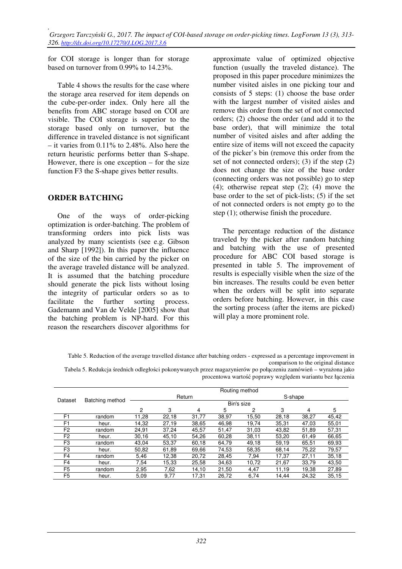for COI storage is longer than for storage based on turnover from 0.99% to 14.23%.

Table 4 shows the results for the case where the storage area reserved for item depends on the cube-per-order index. Only here all the benefits from ABC storage based on COI are visible. The COI storage is superior to the storage based only on turnover, but the difference in traveled distance is not significant – it varies from  $0.11\%$  to 2.48%. Also here the return heuristic performs better than S-shape. However, there is one exception – for the size function F3 the S-shape gives better results.

### **ORDER BATCHING**

One of the ways of order-picking optimization is order-batching. The problem of transforming orders into pick lists was analyzed by many scientists (see e.g. Gibson and Sharp [1992]). In this paper the influence of the size of the bin carried by the picker on the average traveled distance will be analyzed. It is assumed that the batching procedure should generate the pick lists without losing the integrity of particular orders so as to facilitate the further sorting process. Gademann and Van de Velde [2005] show that the batching problem is NP-hard. For this reason the researchers discover algorithms for

approximate value of optimized objective function (usually the traveled distance). The proposed in this paper procedure minimizes the number visited aisles in one picking tour and consists of 5 steps: (1) choose the base order with the largest number of visited aisles and remove this order from the set of not connected orders; (2) choose the order (and add it to the base order), that will minimize the total number of visited aisles and after adding the entire size of items will not exceed the capacity of the picker's bin (remove this order from the set of not connected orders); (3) if the step (2) does not change the size of the base order (connecting orders was not possible) go to step (4); otherwise repeat step (2); (4) move the base order to the set of pick-lists; (5) if the set of not connected orders is not empty go to the step (1); otherwise finish the procedure.

The percentage reduction of the distance traveled by the picker after random batching and batching with the use of presented procedure for ABC COI based storage is presented in table 5. The improvement of results is especially visible when the size of the bin increases. The results could be even better when the orders will be split into separate orders before batching. However, in this case the sorting process (after the items are picked) will play a more prominent role.

Tabela 5. Redukcja średnich odległości pokonywanych przez magazynierów po połączeniu zamówień – wyrażona jako procentowa wartość poprawy względem wariantu bez łączenia

|                |                 | Routing method |       |        |       |       |         |       |       |
|----------------|-----------------|----------------|-------|--------|-------|-------|---------|-------|-------|
|                | Batching method |                |       | Return |       |       | S-shape |       |       |
| Dataset        |                 | Bin's size     |       |        |       |       |         |       |       |
|                |                 | $\overline{c}$ | 3     | 4      | 5     | 2     | 3       | 4     | 5     |
| F <sub>1</sub> | random          | 11,28          | 22,18 | 31,77  | 38,97 | 15,50 | 28,18   | 38,27 | 45,42 |
| F <sub>1</sub> | heur.           | 14,32          | 27,19 | 38,65  | 46,98 | 19,74 | 35,31   | 47,03 | 55,01 |
| F <sub>2</sub> | random          | 24,91          | 37,24 | 45,57  | 51,47 | 31,03 | 43,82   | 51,89 | 57,31 |
| F <sub>2</sub> | heur.           | 30,16          | 45,10 | 54,26  | 60,28 | 38,11 | 53,20   | 61,49 | 66,65 |
| F <sub>3</sub> | random          | 43.04          | 53,37 | 60.18  | 64.79 | 49.18 | 59,19   | 65,51 | 69,93 |
| F <sub>3</sub> | heur.           | 50,82          | 61,89 | 69,66  | 74,53 | 58,35 | 68,14   | 75,22 | 79,57 |
| F <sub>4</sub> | random          | 5,46           | 12,38 | 20,72  | 28,45 | 7,94  | 17,37   | 27,11 | 35,18 |
| F <sub>4</sub> | heur.           | 7,54           | 15,33 | 25,58  | 34,63 | 10.72 | 21,67   | 33.79 | 43,50 |
| F <sub>5</sub> | random          | 2,95           | 7,62  | 14,10  | 21,50 | 4,47  | 11,19   | 19,38 | 27,89 |
| F <sub>5</sub> | heur.           | 5,09           | 9,77  | 17,31  | 26,72 | 6,74  | 14,44   | 24,32 | 35,15 |

Table 5. Reduction of the average travelled distance after batching orders - expressed as a percentage improvement in comparison to the original distance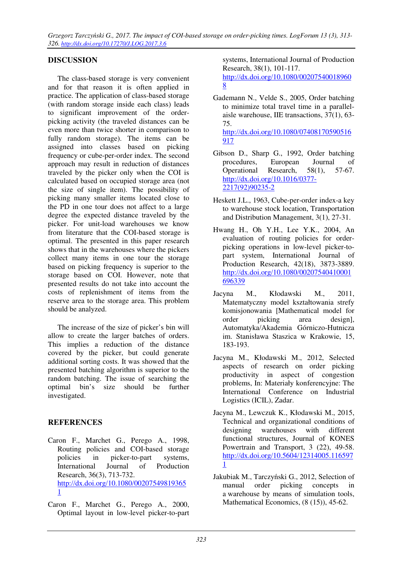## **DISCUSSION**

The class-based storage is very convenient and for that reason it is often applied in practice. The application of class-based storage (with random storage inside each class) leads to significant improvement of the orderpicking activity (the traveled distances can be even more than twice shorter in comparison to fully random storage). The items can be assigned into classes based on picking frequency or cube-per-order index. The second approach may result in reduction of distances traveled by the picker only when the COI is calculated based on occupied storage area (not the size of single item). The possibility of picking many smaller items located close to the PD in one tour does not affect to a large degree the expected distance traveled by the picker. For unit-load warehouses we know from literature that the COI-based storage is optimal. The presented in this paper research shows that in the warehouses where the pickers collect many items in one tour the storage based on picking frequency is superior to the storage based on COI. However, note that presented results do not take into account the costs of replenishment of items from the reserve area to the storage area. This problem should be analyzed.

The increase of the size of picker's bin will allow to create the larger batches of orders. This implies a reduction of the distance covered by the picker, but could generate additional sorting costs. It was showed that the presented batching algorithm is superior to the random batching. The issue of searching the optimal bin's size should be further investigated.

## **REFERENCES**

- Caron F., Marchet G., Perego A., 1998, Routing policies and COI-based storage policies in picker-to-part systems, International Journal of Production Research, 36(3), 713-732. http://dx.doi.org/10.1080/00207549819365 1
- Caron F., Marchet G., Perego A., 2000, Optimal layout in low-level picker-to-part

systems, International Journal of Production Research, 38(1), 101-117. http://dx.doi.org/10.1080/00207540018960 8

Gademann N., Velde S., 2005, Order batching to minimize total travel time in a parallelaisle warehouse, IIE transactions, 37(1), 63- 75.

http://dx.doi.org/10.1080/07408170590516 917

- Gibson D., Sharp G., 1992, Order batching procedures, European Journal of Operational Research, 58(1), 57-67. http://dx.doi.org/10.1016/0377- 2217(92)90235-2
- Heskett J.L., 1963, Cube-per-order index-a key to warehouse stock location, Transportation and Distribution Management, 3(1), 27-31.
- Hwang H., Oh Y.H., Lee Y.K., 2004, An evaluation of routing policies for orderpicking operations in low-level picker-topart system, International Journal of Production Research, 42(18), 3873-3889. http://dx.doi.org/10.1080/00207540410001 696339
- Jacyna M., Kłodawski M., 2011, Matematyczny model kształtowania strefy komisjonowania [Mathematical model for order picking area design], Automatyka/Akademia Górniczo-Hutnicza im. Stanisława Staszica w Krakowie, 15, 183-193.
- Jacyna M., Kłodawski M., 2012, Selected aspects of research on order picking productivity in aspect of congestion problems, In: Materiały konferencyjne: The International Conference on Industrial Logistics (ICIL), Zadar.
- Jacyna M., Lewczuk K., Kłodawski M., 2015, Technical and organizational conditions of designing warehouses with different functional structures, Journal of KONES Powertrain and Transport, 3 (22), 49-58. http://dx.doi.org/10.5604/12314005.116597 1
- Jakubiak M., Tarczyński G., 2012, Selection of manual order picking concepts in a warehouse by means of simulation tools, Mathematical Economics, (8 (15)), 45-62.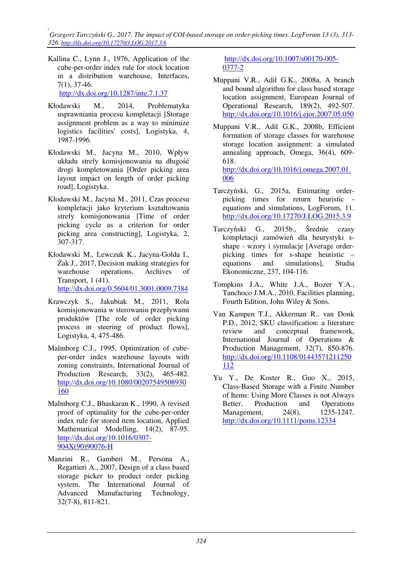*, Grzegorz Tarczyński G., 2017. The impact of COI-based storage on order-picking times. LogForum 13 (3), 313- 326. http://dx.doi.org/10.17270/J.LOG.2017.3.6* 

Kallina C., Lynn J., 1976, Application of the cube-per-order index rule for stock location in a distribution warehouse, Interfaces, 7(1), 37-46.

http://dx.doi.org/10.1287/inte.7.1.37

- Kłodawski M., 2014, Problematyka usprawniania procesu kompletacji [Storage assignment problem as a way to minimize logistics facilities' costs], Logistyka, 4, 1987-1996.
- Kłodawski M., Jacyna M., 2010, Wpływ układu strefy komisjonowania na długość drogi kompletowania [Order picking area layout impact on length of order picking road], Logistyka.
- Kłodawski M., Jacyna M., 2011, Czas procesu kompletacji jako kryterium kształtowania strefy komisjonowania [Time of order picking cycle as a criterion for order picking area constructing], Logistyka, 2, 307-317.
- Kłodawski M., Lewczuk K., Jacyna-Gołda I., Żak J., 2017, Decision making strategies for warehouse operations, Archives of Transport, 1 (41).

http://dx.doi.org/0.5604/01.3001.0009.7384

- Krawczyk S., Jakubiak M., 2011, Rola komisjonowania w sterowaniu przepływami produktów [The role of order picking process in steering of product flows], Logistyka, 4, 475-486.
- Malmborg C.J., 1995, Optimization of cubeper-order index warehouse layouts with zoning constraints, International Journal of Production Research, 33(2), 465-482. http://dx.doi.org/10.1080/00207549508930 160
- Malmborg C.J., Bhaskaran K., 1990, A revised proof of optimality for the cube-per-order index rule for stored item location, Applied Mathematical Modelling, 14(2), 87-95. http://dx.doi.org/10.1016/0307- 904X(90)90076-H
- Manzini R., Gamberi M., Persona A., Regattieri A., 2007, Design of a class based storage picker to product order picking system, The International Journal of Advanced Manufacturing Technology, 32(7-8), 811-821.

http://dx.doi.org/10.1007/s00170-005- 0377-2

- Muppani V.R., Adil G.K., 2008a, A branch and bound algorithm for class based storage location assignment, European Journal of Operational Research, 189(2), 492-507. http://dx.doi.org/10.1016/j.ejor.2007.05.050
- Muppani V.R., Adil G.K., 2008b, Efficient formation of storage classes for warehouse storage location assignment: a simulated annealing approach, Omega, 36(4), 609- 618.

http://dx.doi.org/10.1016/j.omega.2007.01. 006

- Tarczyński, G., 2015a, Estimating orderpicking times for return heuristic equations and simulations, LogForum, 11. http://dx.doi.org/10.17270/J.LOG.2015.3.9
- Tarczyński G., 2015b., Średnie czasy kompletacji zamówień dla heurystyki sshape - wzory i symulacje [Average orderpicking times for s-shape heuristic – equations and simulations], Studia Ekonomiczne, 237, 104-116.
- Tompkins J.A., White J.A., Bozer Y.A., Tanchoco J.M.A., 2010, Facilities planning, Fourth Edition, John Wiley & Sons.
- Van Kampen T.J., Akkerman R., van Donk P.D., 2012, SKU classification: a literature review and conceptual framework, International Journal of Operations & Production Management, 32(7), 850-876. http://dx.doi.org/10.1108/01443571211250 112
- Yu Y., De Koster R., Guo X., 2015, Class‐Based Storage with a Finite Number of Items: Using More Classes is not Always Better, Production and Operations Management, 24(8), 1235-1247. http://dx.doi.org/10.1111/poms.12334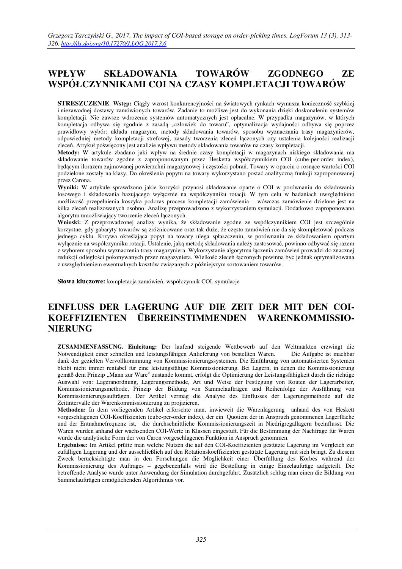# **WPŁYW SKŁADOWANIA TOWARÓW ZGODNEGO ZE WSPÓŁCZYNNIKAMI COI NA CZASY KOMPLETACJI TOWARÓW**

**STRESZCZENIE**. **Wstęp:** Ciągły wzrost konkurencyjności na światowych rynkach wymusza konieczność szybkiej i niezawodnej dostawy zamówionych towarów. Zadanie to możliwe jest do wykonania dzięki doskonaleniu systemów kompletacji. Nie zawsze wdrożenie systemów automatycznych jest opłacalne. W przypadku magazynów, w których kompletacja odbywa się zgodnie z zasadą "człowiek do towaru", optymalizacja wydajności odbywa się poprzez prawidłowy wybór: układu magazynu, metody składowania towarów, sposobu wyznaczania trasy magazynierów, odpowiedniej metody kompletacji strefowej, zasady tworzenia zleceń łączonych czy ustalenia kolejności realizacji zleceń. Artykuł poświęcony jest analizie wpływu metody składowania towarów na czasy kompletacji.

**Metody:** W artykule zbadano jaki wpływ na średnie czasy kompletacji w magazynach niskiego składowania ma składowanie towarów zgodne z zaproponowanym przez Hesketta współczynnikiem COI (cube-per-order index), będącym ilorazem zajmowanej powierzchni magazynowej i częstości pobrań. Towary w oparciu o rosnące wartości COI podzielone zostały na klasy. Do określenia popytu na towary wykorzystano postać analityczną funkcji zaproponowanej przez Carona.

**Wyniki:** W artykule sprawdzono jakie korzyści przynosi składowanie oparte o COI w porównaniu do składowania losowego i składowania bazującego wyłącznie na współczynniku rotacji. W tym celu w badaniach uwzględniono możliwość przepełnienia koszyka podczas procesu kompletacji zamówienia – wówczas zamówienie dzielone jest na kilka zleceń realizowanych osobno. Analizę przeprowadzono z wykorzystaniem symulacji. Dodatkowo zaproponowano algorytm umożliwiający tworzenie zleceń łączonych.

**Wnioski:** Z przeprowadzonej analizy wynika, że składowanie zgodne ze współczynnikiem COI jest szczególnie korzystne, gdy gabaryty towarów są zróżnicowane oraz tak duże, że często zamówień nie da się skompletować podczas jednego cyklu. Krzywa określająca popyt na towary ulega spłaszczeniu, w porównaniu ze składowaniem opartym wyłącznie na współczynniku rotacji. Ustalenie, jaką metodę składowania należy zastosować, powinno odbywać się razem z wyborem sposobu wyznaczenia trasy magazyniera. Wykorzystanie algorytmu łączenia zamówień prowadzi do znacznej redukcji odległości pokonywanych przez magazyniera. Wielkość zleceń łączonych powinna być jednak optymalizowana z uwzględnieniem ewentualnych kosztów związanych z późniejszym sortowaniem towarów.

**Słowa kluczowe:** kompletacja zamówień, współczynnik COI, symulacje

## **EINFLUSS DER LAGERUNG AUF DIE ZEIT DER MIT DEN COI-KOEFFIZIENTEN ÜBEREINSTIMMENDEN WARENKOMMISSIO-NIERUNG**

**ZUSAMMENFASSUNG. Einleitung:** Der laufend steigende Wettbewerb auf den Weltmärkten erzwingt die Notwendigkeit einer schnellen und leistungsfähigen Anlieferung von bestellten Waren. dank der gezielten Vervollkommnung von Kommissionierungssystemen. Die Einführung von automatisierten Systemen bleibt nicht immer rentabel für eine leistungsfähige Kommissionierung. Bei Lagern, in denen die Kommissionierung gemäß dem Prinzip "Mann zur Ware" zustande kommt, erfolgt die Optimierung der Leistungsfähigkeit durch die richtige Auswahl von: Lageranordnung, Lagerungsmethode, Art und Weise der Festlegung von Routen der Lagerarbeiter, Kommissionierungsmethode, Prinzip der Bildung von Sammelaufträgen und Reihenfolge der Ausführung von Kommissionierungsaufträgen. Der Artikel vermag die Analyse des Einflusses der Lagerungsmethode auf die Zeitintervalle der Warenkommissionierung zu projizieren.

**Methoden:** In dem vorliegenden Artikel erforschte man, inwieweit die Warenlagerung anhand des von Heskett vorgeschlagenen COI-Koeffizienten (cube-per-order index), der ein Quotient der in Anspruch genommenen Lagerfläche und der Entnahmefrequenz ist, die durchschnittliche Kommissionierungszeit in Niedrigregallagern beeinflusst. Die Waren wurden anhand der wachsenden COI-Werte in Klassen eingestuft. Für die Bestimmung der Nachfrage für Waren wurde die analytische Form der von Caron vorgeschlagenen Funktion in Anspruch genommen.

**Ergebnisse:** Im Artikel prüfte man welche Nutzen die auf den COI-Koeffizienten gestützte Lagerung im Vergleich zur zufälligen Lagerung und der ausschließlich auf den Rotationskoeffizienten gestützte Lagerung mit sich bringt. Zu diesem Zweck berücksichtigte man in den Forschungen die Möglichkeit einer Überfüllung des Korbes während der Kommissionierung des Auftrages – gegebenenfalls wird die Bestellung in einige Einzelaufträge aufgeteilt. Die betreffende Analyse wurde unter Anwendung der Simulation durchgeführt. Zusätzlich schlug man einen die Bildung von Sammelaufträgen ermöglichenden Algorithmus vor.